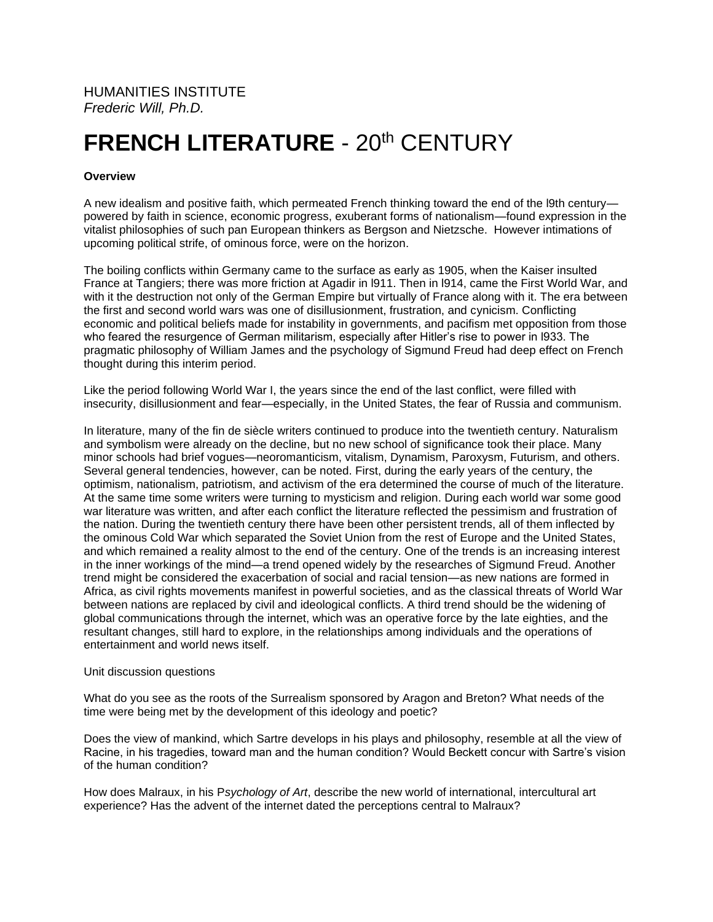## **FRENCH LITERATURE - 20th CENTURY**

## **Overview**

A new idealism and positive faith, which permeated French thinking toward the end of the l9th century powered by faith in science, economic progress, exuberant forms of nationalism—found expression in the vitalist philosophies of such pan European thinkers as Bergson and Nietzsche. However intimations of upcoming political strife, of ominous force, were on the horizon.

The boiling conflicts within Germany came to the surface as early as 1905, when the Kaiser insulted France at Tangiers; there was more friction at Agadir in l911. Then in l914, came the First World War, and with it the destruction not only of the German Empire but virtually of France along with it. The era between the first and second world wars was one of disillusionment, frustration, and cynicism. Conflicting economic and political beliefs made for instability in governments, and pacifism met opposition from those who feared the resurgence of German militarism, especially after Hitler's rise to power in l933. The pragmatic philosophy of William James and the psychology of Sigmund Freud had deep effect on French thought during this interim period.

Like the period following World War I, the years since the end of the last conflict, were filled with insecurity, disillusionment and fear—especially, in the United States, the fear of Russia and communism.

In literature, many of the fin de siècle writers continued to produce into the twentieth century. Naturalism and symbolism were already on the decline, but no new school of significance took their place. Many minor schools had brief vogues—neoromanticism, vitalism, Dynamism, Paroxysm, Futurism, and others. Several general tendencies, however, can be noted. First, during the early years of the century, the optimism, nationalism, patriotism, and activism of the era determined the course of much of the literature. At the same time some writers were turning to mysticism and religion. During each world war some good war literature was written, and after each conflict the literature reflected the pessimism and frustration of the nation. During the twentieth century there have been other persistent trends, all of them inflected by the ominous Cold War which separated the Soviet Union from the rest of Europe and the United States, and which remained a reality almost to the end of the century. One of the trends is an increasing interest in the inner workings of the mind—a trend opened widely by the researches of Sigmund Freud. Another trend might be considered the exacerbation of social and racial tension—as new nations are formed in Africa, as civil rights movements manifest in powerful societies, and as the classical threats of World War between nations are replaced by civil and ideological conflicts. A third trend should be the widening of global communications through the internet, which was an operative force by the late eighties, and the resultant changes, still hard to explore, in the relationships among individuals and the operations of entertainment and world news itself.

## Unit discussion questions

What do you see as the roots of the Surrealism sponsored by Aragon and Breton? What needs of the time were being met by the development of this ideology and poetic?

Does the view of mankind, which Sartre develops in his plays and philosophy, resemble at all the view of Racine, in his tragedies, toward man and the human condition? Would Beckett concur with Sartre's vision of the human condition?

How does Malraux, in his P*sychology of Art*, describe the new world of international, intercultural art experience? Has the advent of the internet dated the perceptions central to Malraux?